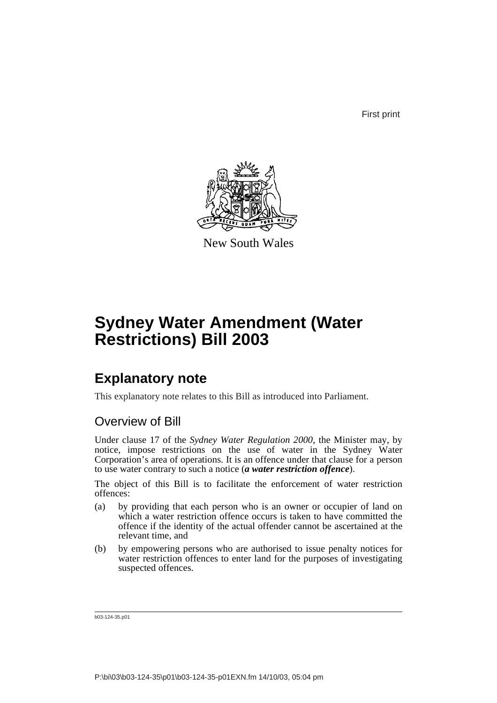First print



New South Wales

# **Sydney Water Amendment (Water Restrictions) Bill 2003**

# **Explanatory note**

This explanatory note relates to this Bill as introduced into Parliament.

## Overview of Bill

Under clause 17 of the *Sydney Water Regulation 2000*, the Minister may, by notice, impose restrictions on the use of water in the Sydney Water Corporation's area of operations. It is an offence under that clause for a person to use water contrary to such a notice (*a water restriction offence*).

The object of this Bill is to facilitate the enforcement of water restriction offences:

- (a) by providing that each person who is an owner or occupier of land on which a water restriction offence occurs is taken to have committed the offence if the identity of the actual offender cannot be ascertained at the relevant time, and
- (b) by empowering persons who are authorised to issue penalty notices for water restriction offences to enter land for the purposes of investigating suspected offences.

b03-124-35.p01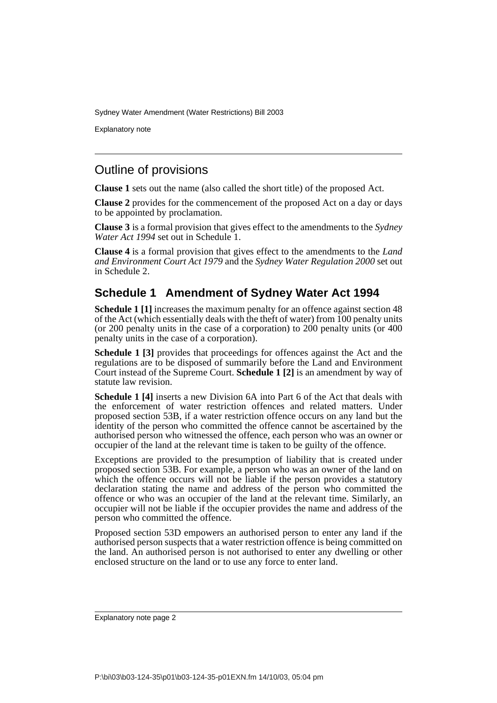Explanatory note

## Outline of provisions

**Clause 1** sets out the name (also called the short title) of the proposed Act.

**Clause 2** provides for the commencement of the proposed Act on a day or days to be appointed by proclamation.

**Clause 3** is a formal provision that gives effect to the amendments to the *Sydney Water Act 1994* set out in Schedule 1.

**Clause 4** is a formal provision that gives effect to the amendments to the *Land and Environment Court Act 1979* and the *Sydney Water Regulation 2000* set out in Schedule 2.

## **Schedule 1 Amendment of Sydney Water Act 1994**

**Schedule 1** [1] increases the maximum penalty for an offence against section 48 of the Act (which essentially deals with the theft of water) from 100 penalty units (or 200 penalty units in the case of a corporation) to 200 penalty units (or 400 penalty units in the case of a corporation).

**Schedule 1 [3]** provides that proceedings for offences against the Act and the regulations are to be disposed of summarily before the Land and Environment Court instead of the Supreme Court. **Schedule 1 [2]** is an amendment by way of statute law revision.

**Schedule 1 [4]** inserts a new Division 6A into Part 6 of the Act that deals with the enforcement of water restriction offences and related matters. Under proposed section 53B, if a water restriction offence occurs on any land but the identity of the person who committed the offence cannot be ascertained by the authorised person who witnessed the offence, each person who was an owner or occupier of the land at the relevant time is taken to be guilty of the offence.

Exceptions are provided to the presumption of liability that is created under proposed section 53B. For example, a person who was an owner of the land on which the offence occurs will not be liable if the person provides a statutory declaration stating the name and address of the person who committed the offence or who was an occupier of the land at the relevant time. Similarly, an occupier will not be liable if the occupier provides the name and address of the person who committed the offence.

Proposed section 53D empowers an authorised person to enter any land if the authorised person suspects that a water restriction offence is being committed on the land. An authorised person is not authorised to enter any dwelling or other enclosed structure on the land or to use any force to enter land.

Explanatory note page 2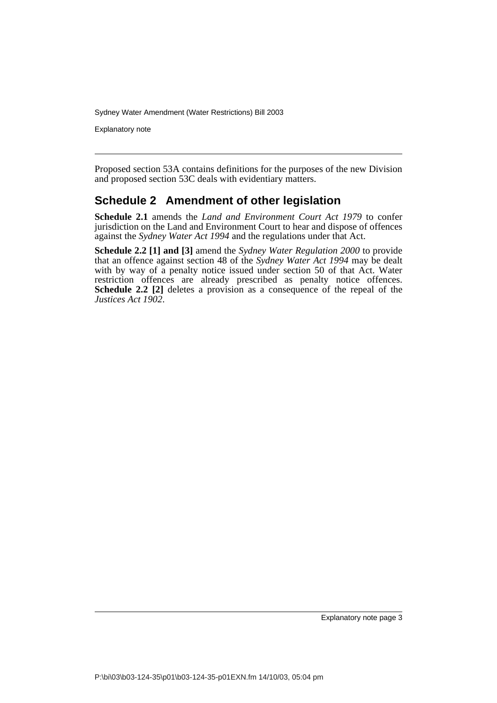Explanatory note

Proposed section 53A contains definitions for the purposes of the new Division and proposed section 53C deals with evidentiary matters.

### **Schedule 2 Amendment of other legislation**

**Schedule 2.1** amends the *Land and Environment Court Act 1979* to confer jurisdiction on the Land and Environment Court to hear and dispose of offences against the *Sydney Water Act 1994* and the regulations under that Act.

**Schedule 2.2 [1] and [3]** amend the *Sydney Water Regulation 2000* to provide that an offence against section 48 of the *Sydney Water Act 1994* may be dealt with by way of a penalty notice issued under section 50 of that Act. Water restriction offences are already prescribed as penalty notice offences. **Schedule 2.2** [2] deletes a provision as a consequence of the repeal of the *Justices Act 1902*.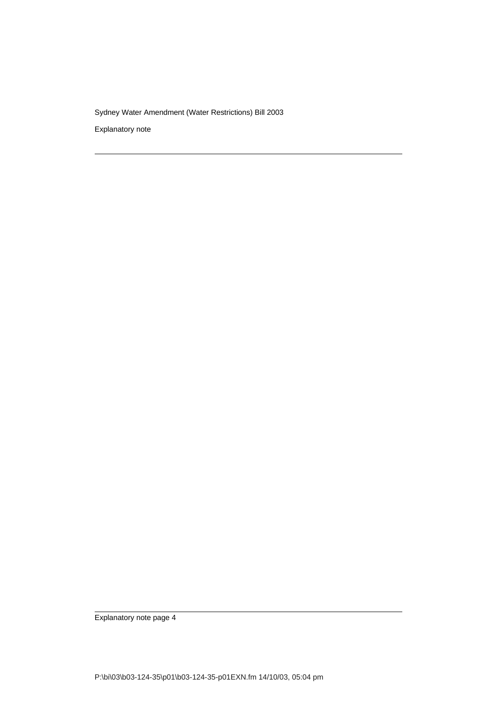Explanatory note

Explanatory note page 4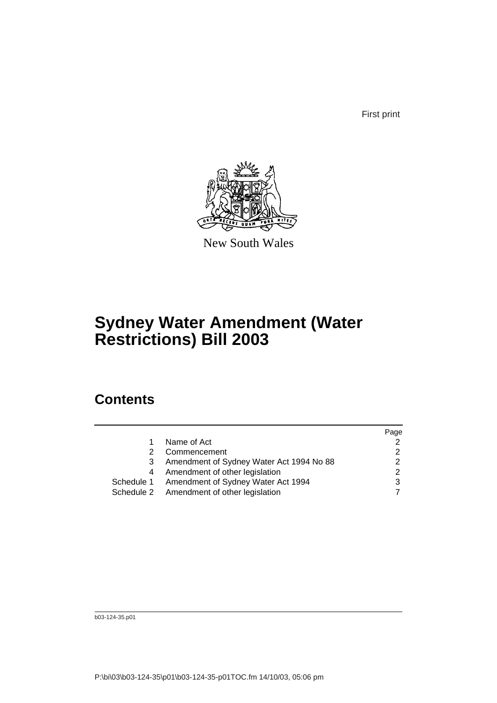First print



New South Wales

# **Sydney Water Amendment (Water Restrictions) Bill 2003**

## **Contents**

|            |                                          | Page |
|------------|------------------------------------------|------|
|            | Name of Act                              |      |
|            | Commencement                             |      |
| 3          | Amendment of Sydney Water Act 1994 No 88 |      |
| 4          | Amendment of other legislation           |      |
| Schedule 1 | Amendment of Sydney Water Act 1994       |      |
| Schedule 2 | Amendment of other legislation           |      |
|            |                                          |      |

b03-124-35.p01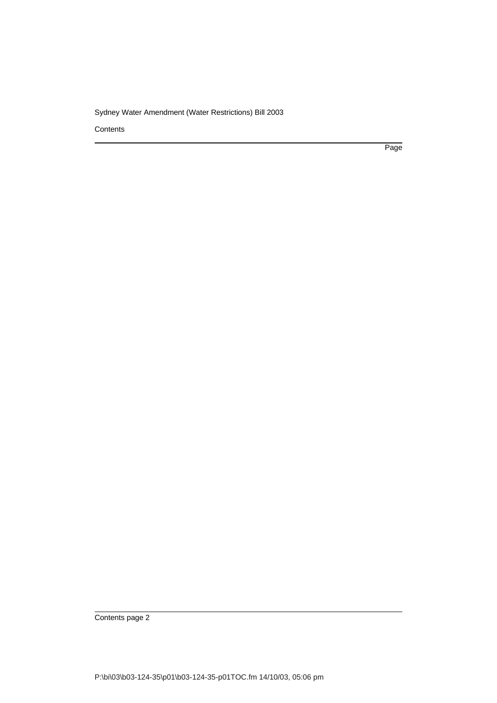**Contents** 

Page

Contents page 2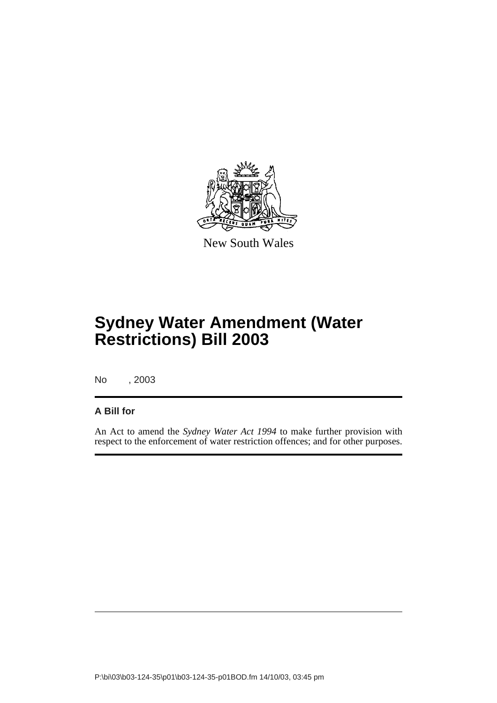

New South Wales

# **Sydney Water Amendment (Water Restrictions) Bill 2003**

No , 2003

### **A Bill for**

An Act to amend the *Sydney Water Act 1994* to make further provision with respect to the enforcement of water restriction offences; and for other purposes.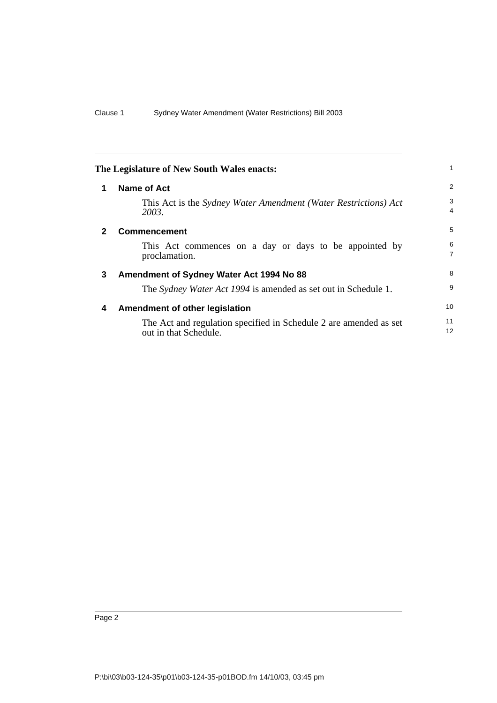<span id="page-7-3"></span><span id="page-7-2"></span><span id="page-7-1"></span><span id="page-7-0"></span>

|              | The Legislature of New South Wales enacts:                                                 | 1                   |
|--------------|--------------------------------------------------------------------------------------------|---------------------|
| 1            | Name of Act                                                                                | 2                   |
|              | This Act is the Sydney Water Amendment (Water Restrictions) Act<br>2003.                   | 3<br>$\overline{4}$ |
| $\mathbf{2}$ | <b>Commencement</b>                                                                        | 5                   |
|              | This Act commences on a day or days to be appointed by<br>proclamation.                    | 6<br>$\overline{7}$ |
| 3            | Amendment of Sydney Water Act 1994 No 88                                                   | 8                   |
|              | The Sydney Water Act 1994 is amended as set out in Schedule 1.                             | 9                   |
| 4            | Amendment of other legislation                                                             | 10                  |
|              | The Act and regulation specified in Schedule 2 are amended as set<br>out in that Schedule. | 11<br>12            |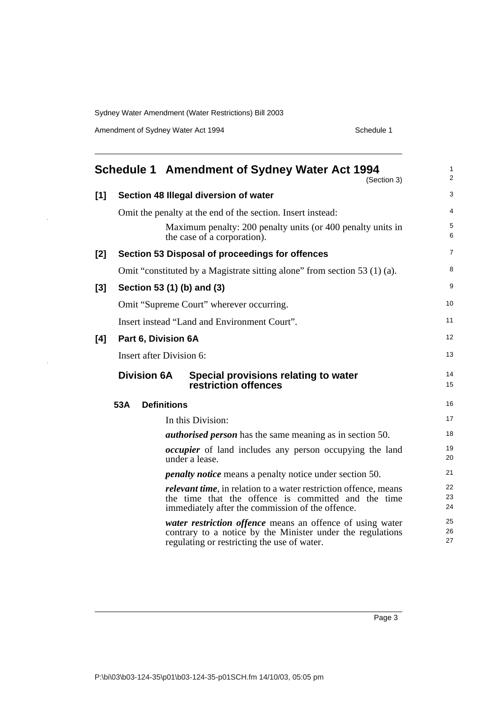Amendment of Sydney Water Act 1994 **Schedule 1** Schedule 1

<span id="page-8-0"></span>

|       | Schedule 1 Amendment of Sydney Water Act 1994<br>(Section 3)                                                                                                                        | $\mathbf{1}$<br>2 |  |
|-------|-------------------------------------------------------------------------------------------------------------------------------------------------------------------------------------|-------------------|--|
| $[1]$ | Section 48 Illegal diversion of water                                                                                                                                               | 3                 |  |
|       | Omit the penalty at the end of the section. Insert instead:                                                                                                                         | $\overline{4}$    |  |
|       | Maximum penalty: 200 penalty units (or 400 penalty units in<br>the case of a corporation).                                                                                          | 5<br>6            |  |
| $[2]$ | Section 53 Disposal of proceedings for offences                                                                                                                                     | $\overline{7}$    |  |
|       | Omit "constituted by a Magistrate sitting alone" from section 53 (1) (a).                                                                                                           | 8                 |  |
| $[3]$ | Section 53 (1) (b) and (3)                                                                                                                                                          | 9                 |  |
|       | Omit "Supreme Court" wherever occurring.                                                                                                                                            | 10                |  |
|       | Insert instead "Land and Environment Court".                                                                                                                                        |                   |  |
| [4]   | Part 6, Division 6A                                                                                                                                                                 | 12                |  |
|       | Insert after Division 6:                                                                                                                                                            | 13                |  |
|       | <b>Division 6A</b><br>Special provisions relating to water<br>restriction offences                                                                                                  | 14<br>15          |  |
|       | 53A<br><b>Definitions</b>                                                                                                                                                           | 16                |  |
|       | In this Division:                                                                                                                                                                   | 17                |  |
|       | <i>authorised person</i> has the same meaning as in section 50.                                                                                                                     | 18                |  |
|       | <i>occupier</i> of land includes any person occupying the land<br>under a lease.                                                                                                    | 19<br>20          |  |
|       | <i>penalty notice</i> means a penalty notice under section 50.                                                                                                                      | 21                |  |
|       | <i>relevant time</i> , in relation to a water restriction offence, means<br>the time that the offence is committed and the time<br>immediately after the commission of the offence. | 22<br>23<br>24    |  |
|       | water restriction offence means an offence of using water<br>contrary to a notice by the Minister under the regulations<br>regulating or restricting the use of water.              | 25<br>26<br>27    |  |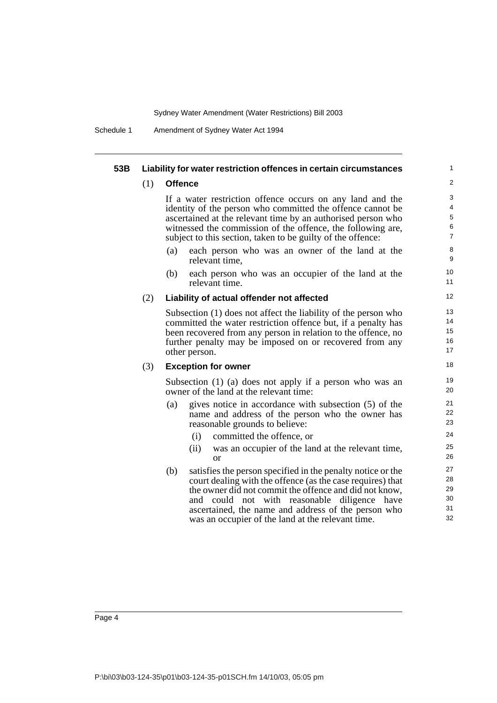Schedule 1 Amendment of Sydney Water Act 1994

### **53B Liability for water restriction offences in certain circumstances**

#### (1) **Offence**

If a water restriction offence occurs on any land and the identity of the person who committed the offence cannot be ascertained at the relevant time by an authorised person who witnessed the commission of the offence, the following are, subject to this section, taken to be guilty of the offence:

- (a) each person who was an owner of the land at the relevant time,
- (b) each person who was an occupier of the land at the relevant time.

#### (2) **Liability of actual offender not affected**

Subsection (1) does not affect the liability of the person who committed the water restriction offence but, if a penalty has been recovered from any person in relation to the offence, no further penalty may be imposed on or recovered from any other person.

### (3) **Exception for owner**

Subsection (1) (a) does not apply if a person who was an owner of the land at the relevant time:

- (a) gives notice in accordance with subsection (5) of the name and address of the person who the owner has reasonable grounds to believe:
	- (i) committed the offence, or
	- (ii) was an occupier of the land at the relevant time, or
- (b) satisfies the person specified in the penalty notice or the court dealing with the offence (as the case requires) that the owner did not commit the offence and did not know, and could not with reasonable diligence have ascertained, the name and address of the person who was an occupier of the land at the relevant time.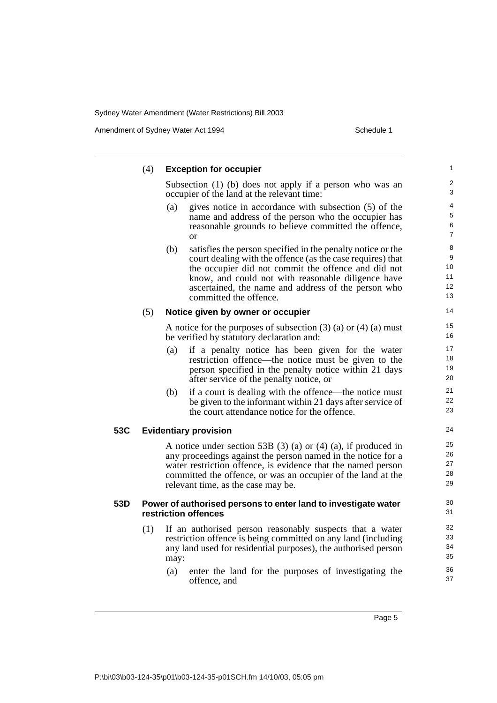Amendment of Sydney Water Act 1994 Schedule 1

#### (4) **Exception for occupier** Subsection (1) (b) does not apply if a person who was an occupier of the land at the relevant time: (a) gives notice in accordance with subsection (5) of the name and address of the person who the occupier has reasonable grounds to believe committed the offence, or (b) satisfies the person specified in the penalty notice or the court dealing with the offence (as the case requires) that the occupier did not commit the offence and did not know, and could not with reasonable diligence have ascertained, the name and address of the person who committed the offence. (5) **Notice given by owner or occupier** A notice for the purposes of subsection  $(3)$   $(a)$  or  $(4)$   $(a)$  must be verified by statutory declaration and: (a) if a penalty notice has been given for the water restriction offence—the notice must be given to the person specified in the penalty notice within 21 days after service of the penalty notice, or (b) if a court is dealing with the offence—the notice must be given to the informant within 21 days after service of the court attendance notice for the offence. **53C Evidentiary provision** A notice under section 53B (3) (a) or (4) (a), if produced in any proceedings against the person named in the notice for a water restriction offence, is evidence that the named person committed the offence, or was an occupier of the land at the relevant time, as the case may be. **53D Power of authorised persons to enter land to investigate water restriction offences** (1) If an authorised person reasonably suspects that a water restriction offence is being committed on any land (including any land used for residential purposes), the authorised person may: (a) enter the land for the purposes of investigating the offence, and 1  $\mathfrak{p}$ 3 4 5 6 7 8 9 10 11 12 13 14 15 16 17 18 19 20 21 22 23 24 25 26 27 28 29 30 31 32 33 34 35 36 37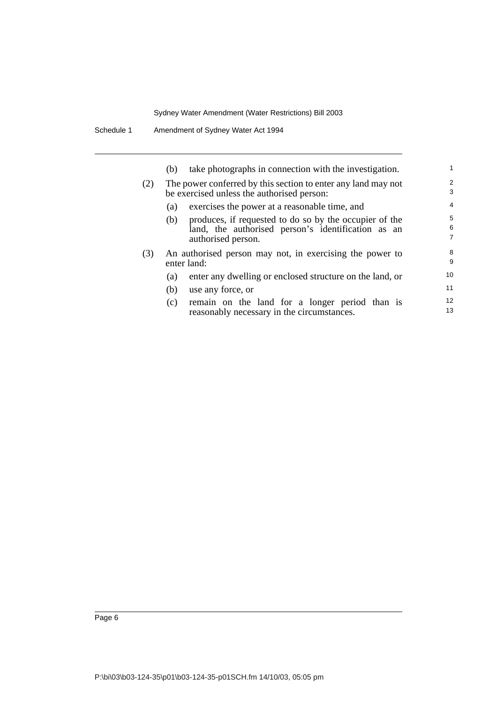|     | (b) | take photographs in connection with the investigation.                                                                             |                          |
|-----|-----|------------------------------------------------------------------------------------------------------------------------------------|--------------------------|
| (2) |     | The power conferred by this section to enter any land may not<br>be exercised unless the authorised person:                        | $\overline{2}$<br>3      |
|     | (a) | exercises the power at a reasonable time, and                                                                                      | $\overline{4}$           |
|     | (b) | produces, if requested to do so by the occupier of the<br>land, the authorised person's identification as an<br>authorised person. | 5<br>6<br>$\overline{7}$ |
| (3) |     | An authorised person may not, in exercising the power to<br>enter land:                                                            | 8<br>9                   |
|     | (a) | enter any dwelling or enclosed structure on the land, or                                                                           | 10                       |
|     | (b) | use any force, or                                                                                                                  | 11                       |
|     | (c) | remain on the land for a longer period than is<br>reasonably necessary in the circumstances.                                       | 12<br>13                 |
|     |     |                                                                                                                                    |                          |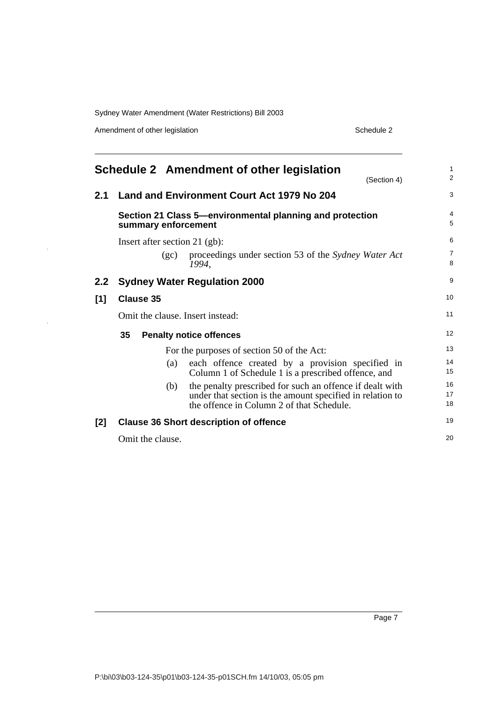Amendment of other legislation Schedule 2

<span id="page-12-0"></span>

|       |                                  |      | Schedule 2 Amendment of other legislation<br>(Section 4)                                                                                                           | 1<br>$\overline{2}$ |
|-------|----------------------------------|------|--------------------------------------------------------------------------------------------------------------------------------------------------------------------|---------------------|
| 2.1   |                                  |      | Land and Environment Court Act 1979 No 204                                                                                                                         | 3                   |
|       | summary enforcement              |      | Section 21 Class 5-environmental planning and protection                                                                                                           | 4<br>5              |
|       | Insert after section 21 $(gb)$ : |      |                                                                                                                                                                    | 6                   |
|       |                                  | (gc) | proceedings under section 53 of the Sydney Water Act<br>1994.                                                                                                      | 7<br>8              |
| 2.2   |                                  |      | <b>Sydney Water Regulation 2000</b>                                                                                                                                | 9                   |
| [1]   | <b>Clause 35</b>                 |      |                                                                                                                                                                    | 10                  |
|       |                                  |      | Omit the clause. Insert instead:                                                                                                                                   | 11                  |
|       | 35                               |      | <b>Penalty notice offences</b>                                                                                                                                     | 12                  |
|       |                                  |      | For the purposes of section 50 of the Act:                                                                                                                         | 13                  |
|       |                                  | (a)  | each offence created by a provision specified in<br>Column 1 of Schedule 1 is a prescribed offence, and                                                            | 14<br>15            |
|       |                                  | (b)  | the penalty prescribed for such an offence if dealt with<br>under that section is the amount specified in relation to<br>the offence in Column 2 of that Schedule. | 16<br>17<br>18      |
| $[2]$ |                                  |      | <b>Clause 36 Short description of offence</b>                                                                                                                      | 19                  |
|       | Omit the clause.                 |      |                                                                                                                                                                    | 20                  |